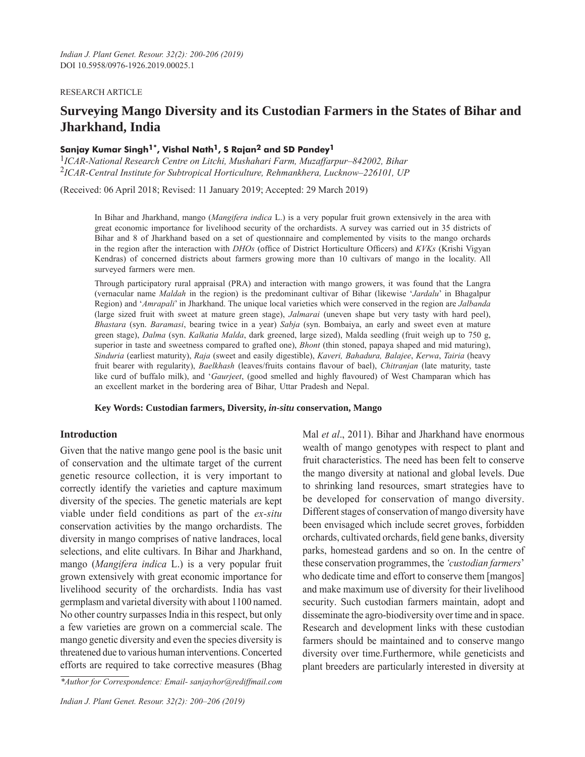### RESEARCH ARTICLE

# **Surveying Mango Diversity and its Custodian Farmers in the States of Bihar and Jharkhand, India**

# **Sanjay Kumar Singh1\*, Vishal Nath1, S Rajan2 and SD Pandey1**

1*ICAR-National Research Centre on Litchi, Mushahari Farm, Muzaffarpur–842002, Bihar* 2*ICAR-Central Institute for Subtropical Horticulture, Rehmankhera, Lucknow–226101, UP*

(Received: 06 April 2018; Revised: 11 January 2019; Accepted: 29 March 2019)

In Bihar and Jharkhand, mango (*Mangifera indica* L.) is a very popular fruit grown extensively in the area with great economic importance for livelihood security of the orchardists. A survey was carried out in 35 districts of Bihar and 8 of Jharkhand based on a set of questionnaire and complemented by visits to the mango orchards in the region after the interaction with *DHOs* (office of District Horticulture Officers) and *KVKs* (Krishi Vigyan Kendras) of concerned districts about farmers growing more than 10 cultivars of mango in the locality. All surveyed farmers were men.

Through participatory rural appraisal (PRA) and interaction with mango growers, it was found that the Langra (vernacular name *Maldah* in the region) is the predominant cultivar of Bihar (likewise '*Jardalu*' in Bhagalpur Region) and '*Amrapali*' in Jharkhand. The unique local varieties which were conserved in the region are *Jalbanda* (large sized fruit with sweet at mature green stage), *Jalmarai* (uneven shape but very tasty with hard peel), *Bhastara* (syn. *Baramasi*, bearing twice in a year) *Sabja* (syn. Bombaiya, an early and sweet even at mature green stage), *Dalma* (syn. *Kalkatia Malda*, dark greened, large sized), Malda seedling (fruit weigh up to 750 g, superior in taste and sweetness compared to grafted one), *Bhont* (thin stoned, papaya shaped and mid maturing), *Sinduria* (earliest maturity), *Raja* (sweet and easily digestible), *Kaveri, Bahadura, Balajee*, *Kerwa*, *Tairia* (heavy fruit bearer with regularity), *Baelkhash* (leaves/fruits contains flavour of bael), *Chitranjan* (late maturity, taste like curd of buffalo milk), and '*Gaurjeet*, (good smelled and highly flavoured) of West Champaran which has an excellent market in the bordering area of Bihar, Uttar Pradesh and Nepal.

**Key Words: Custodian farmers, Diversity,** *in-situ* **conservation, Mango**

## **Introduction**

Given that the native mango gene pool is the basic unit of conservation and the ultimate target of the current genetic resource collection, it is very important to correctly identify the varieties and capture maximum diversity of the species. The genetic materials are kept viable under field conditions as part of the *ex-situ* conservation activities by the mango orchardists. The diversity in mango comprises of native landraces, local selections, and elite cultivars. In Bihar and Jharkhand, mango (*Mangifera indica* L.) is a very popular fruit grown extensively with great economic importance for livelihood security of the orchardists. India has vast germplasm and varietal diversity with about 1100 named. No other country surpasses India in this respect, but only a few varieties are grown on a commercial scale. The mango genetic diversity and even the species diversity is threatened due to various human interventions. Concerted efforts are required to take corrective measures (Bhag

*\*Author for Correspondence: Email- sanjayhor@rediffmail.com*

Mal *et al*., 2011). Bihar and Jharkhand have enormous wealth of mango genotypes with respect to plant and fruit characteristics. The need has been felt to conserve the mango diversity at national and global levels. Due to shrinking land resources, smart strategies have to be developed for conservation of mango diversity. Different stages of conservation of mango diversity have been envisaged which include secret groves, forbidden orchards, cultivated orchards, field gene banks, diversity parks, homestead gardens and so on. In the centre of these conservation programmes, the *'custodian farmers*' who dedicate time and effort to conserve them [mangos] and make maximum use of diversity for their livelihood security. Such custodian farmers maintain, adopt and disseminate the agro-biodiversity over time and in space. Research and development links with these custodian farmers should be maintained and to conserve mango diversity over time.Furthermore, while geneticists and plant breeders are particularly interested in diversity at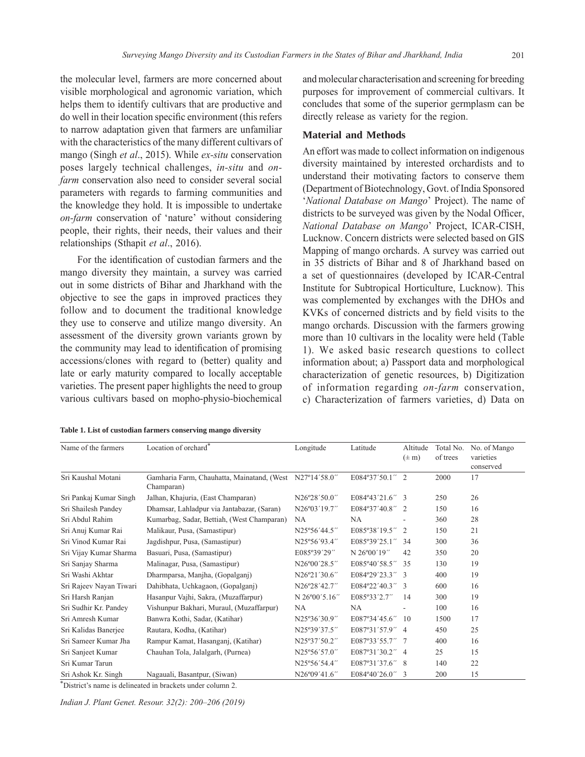the molecular level, farmers are more concerned about visible morphological and agronomic variation, which helps them to identify cultivars that are productive and do well in their location specific environment (this refers to narrow adaptation given that farmers are unfamiliar with the characteristics of the many different cultivars of mango (Singh *et al*., 2015). While *ex-situ* conservation poses largely technical challenges, *in-situ* and *onfarm* conservation also need to consider several social parameters with regards to farming communities and the knowledge they hold. It is impossible to undertake *on-farm* conservation of 'nature' without considering people, their rights, their needs, their values and their relationships (Sthapit *et al*., 2016).

For the identification of custodian farmers and the mango diversity they maintain, a survey was carried out in some districts of Bihar and Jharkhand with the objective to see the gaps in improved practices they follow and to document the traditional knowledge they use to conserve and utilize mango diversity. An assessment of the diversity grown variants grown by the community may lead to identification of promising accessions/clones with regard to (better) quality and late or early maturity compared to locally acceptable varieties. The present paper highlights the need to group various cultivars based on mopho-physio-biochemical

and molecular characterisation and screening for breeding purposes for improvement of commercial cultivars. It concludes that some of the superior germplasm can be directly release as variety for the region.

## **Material and Methods**

An effort was made to collect information on indigenous diversity maintained by interested orchardists and to understand their motivating factors to conserve them (Department of Biotechnology, Govt. of India Sponsored '*National Database on Mango*' Project). The name of districts to be surveyed was given by the Nodal Officer, *National Database on Mango*' Project, ICAR-CISH, Lucknow. Concern districts were selected based on GIS Mapping of mango orchards. A survey was carried out in 35 districts of Bihar and 8 of Jharkhand based on a set of questionnaires (developed by ICAR-Central Institute for Subtropical Horticulture, Lucknow). This was complemented by exchanges with the DHOs and KVKs of concerned districts and by field visits to the mango orchards. Discussion with the farmers growing more than 10 cultivars in the locality were held (Table 1). We asked basic research questions to collect information about; a) Passport data and morphological characterization of genetic resources, b) Digitization of information regarding *on-farm* conservation, c) Characterization of farmers varieties, d) Data on

|  |  | Table 1. List of custodian farmers conserving mango diversity |  |
|--|--|---------------------------------------------------------------|--|
|  |  |                                                               |  |

| Name of the farmers                  | Location of orchard <sup>®</sup>                         | Longitude     | Latitude        | Altitude<br>$(\pm m)$ | Total No.<br>of trees | No. of Mango<br>varieties<br>conserved |
|--------------------------------------|----------------------------------------------------------|---------------|-----------------|-----------------------|-----------------------|----------------------------------------|
| Sri Kaushal Motani                   | Gamharia Farm, Chauhatta, Mainatand, (West<br>Champaran) | N27°14'58.0"  | E084°37'50.1"   | $\mathfrak{D}$        | 2000                  | 17                                     |
| Sri Pankaj Kumar Singh               | Jalhan, Khajuria, (East Champaran)                       | N26°28'50.0"  | E084°43'21.6" 3 |                       | 250                   | 26                                     |
| Sri Shailesh Pandey                  | Dhamsar, Lahladpur via Jantabazar, (Saran)               | N26°03'19.7"  | E084°37'40.8"   | -2                    | 150                   | 16                                     |
| Sri Abdul Rahim                      | Kumarbag, Sadar, Bettiah, (West Champaran)               | <b>NA</b>     | <b>NA</b>       |                       | 360                   | 28                                     |
| Sri Anuj Kumar Rai                   | Malikaur, Pusa, (Samastipur)                             | N25°56'44.5"  | E085°38'19.5"   | 2                     | 150                   | 21                                     |
| Sri Vinod Kumar Rai                  | Jagdishpur, Pusa, (Samastipur)                           | N25°56'93.4"  | E085°39'25.1"   | 34                    | 300                   | 36                                     |
| Sri Vijay Kumar Sharma               | Basuari, Pusa, (Samastipur)                              | E085°39'29"   | N 26°00'19"     | 42                    | 350                   | 20                                     |
| Sri Sanjay Sharma                    | Malinagar, Pusa, (Samastipur)                            | N26°00'28.5"  | E085°40'58.5"   | 35                    | 130                   | 19                                     |
| Sri Washi Akhtar                     | Dharmparsa, Manjha, (Gopalganj)                          | N26°21'30.6"  | E084°29'23.3" 3 |                       | 400                   | 19                                     |
| Sri Rajeev Nayan Tiwari              | Dahibhata, Uchkagaon, (Gopalganj)                        | N26°28'42.7"  | E084°22'40.3"   | $\mathcal{F}$         | 600                   | 16                                     |
| Sri Harsh Ranjan                     | Hasanpur Vajhi, Sakra, (Muzaffarpur)                     | N 26°00'5.16" | E085°33'2.7"    | 14                    | 300                   | 19                                     |
| Sri Sudhir Kr. Pandey                | Vishunpur Bakhari, Muraul, (Muzaffarpur)                 | NA            | NА              |                       | 100                   | 16                                     |
| Sri Amresh Kumar                     | Banwra Kothi, Sadar, (Katihar)                           | N25°36'30.9"  | E087°34'45.6"   | 10                    | 1500                  | 17                                     |
| Sri Kalidas Banerjee                 | Rautara, Kodha, (Katihar)                                | N25°39'37.5"  | E087°31'57.9"   | $\overline{4}$        | 450                   | 25                                     |
| Sri Sameer Kumar Jha                 | Rampur Kamat, Hasanganj, (Katihar)                       | N25°37'50.2"  | E087°33'55.7"   |                       | 400                   | 16                                     |
| Sri Sanjeet Kumar                    | Chauhan Tola, Jalalgarh, (Purnea)                        | N25°56'57.0"  | E087°31'30.2"   | $\overline{4}$        | 25                    | 15                                     |
| Sri Kumar Tarun                      |                                                          | N25°56'54.4"  | E087°31'37.6"   | 8                     | 140                   | 22                                     |
| Sri Ashok Kr. Singh<br>*<br>$\cdots$ | Nagauali, Basantpur, (Siwan)                             | N26°09'41.6"  | E084°40'26.0"   | 3                     | 200                   | 15                                     |

\*District's name is delineated in brackets under column 2.

*Indian J. Plant Genet. Resour. 32(2): 200–206 (2019)*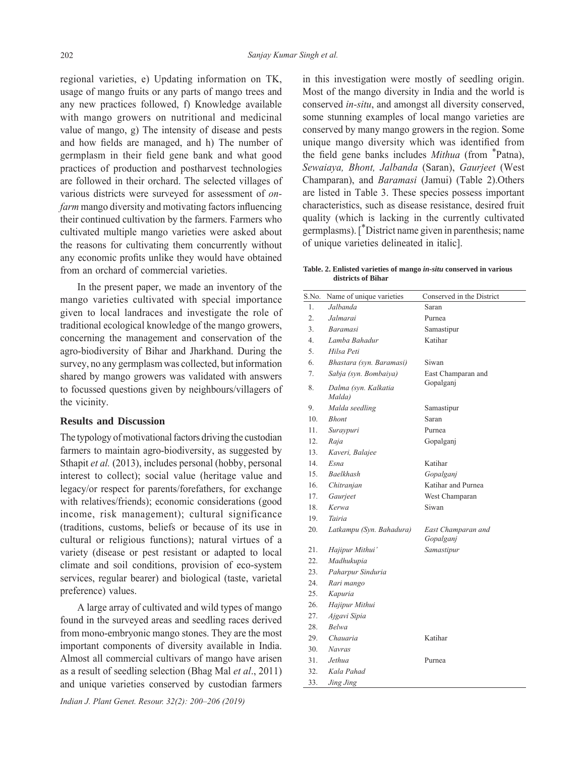regional varieties, e) Updating information on TK, usage of mango fruits or any parts of mango trees and any new practices followed, f) Knowledge available with mango growers on nutritional and medicinal value of mango, g) The intensity of disease and pests and how fields are managed, and h) The number of germplasm in their field gene bank and what good practices of production and postharvest technologies are followed in their orchard. The selected villages of various districts were surveyed for assessment of *onfarm* mango diversity and motivating factors influencing their continued cultivation by the farmers. Farmers who cultivated multiple mango varieties were asked about the reasons for cultivating them concurrently without any economic profits unlike they would have obtained from an orchard of commercial varieties.

 In the present paper, we made an inventory of the mango varieties cultivated with special importance given to local landraces and investigate the role of traditional ecological knowledge of the mango growers, concerning the management and conservation of the agro-biodiversity of Bihar and Jharkhand. During the survey, no any germplasm was collected, but information shared by mango growers was validated with answers to focussed questions given by neighbours/villagers of the vicinity.

## **Results and Discussion**

The typology of motivational factors driving the custodian farmers to maintain agro-biodiversity, as suggested by Sthapit *et al.* (2013), includes personal (hobby, personal interest to collect); social value (heritage value and legacy/or respect for parents/forefathers, for exchange with relatives/friends); economic considerations (good income, risk management); cultural significance (traditions, customs, beliefs or because of its use in cultural or religious functions); natural virtues of a variety (disease or pest resistant or adapted to local climate and soil conditions, provision of eco-system services, regular bearer) and biological (taste, varietal preference) values.

 A large array of cultivated and wild types of mango found in the surveyed areas and seedling races derived from mono-embryonic mango stones. They are the most important components of diversity available in India. Almost all commercial cultivars of mango have arisen as a result of seedling selection (Bhag Mal *et al*., 2011) and unique varieties conserved by custodian farmers in this investigation were mostly of seedling origin. Most of the mango diversity in India and the world is conserved *in-situ*, and amongst all diversity conserved, some stunning examples of local mango varieties are conserved by many mango growers in the region. Some unique mango diversity which was identified from the field gene banks includes *Mithua* (from <sup>\*</sup>Patna), *Sewaiaya, Bhont, Jalbanda* (Saran), *Gaurjeet* (West Champaran), and *Baramasi* (Jamui) (Table 2).Others are listed in Table 3. These species possess important characteristics, such as disease resistance, desired fruit quality (which is lacking in the currently cultivated germplasms). [\*District name given in parenthesis; name of unique varieties delineated in italic].

#### **Table. 2. Enlisted varieties of mango** *in-situ* **conserved in various districts of Bihar**

| S.No.            | Name of unique varieties       | Conserved in the District       |
|------------------|--------------------------------|---------------------------------|
| 1.               | Jalbanda                       | Saran                           |
| $\overline{2}$ . | Jalmarai                       | Purnea                          |
| $\overline{3}$ . | <i>Baramasi</i>                | Samastipur                      |
| 4.               | Lamba Bahadur                  | Katihar                         |
| 5.               | Hilsa Peti                     |                                 |
| 6.               | Bhastara (syn. Baramasi)       | Siwan                           |
| 7.               | Sabja (syn. Bombaiya)          | East Champaran and              |
| 8.               | Dalma (syn. Kalkatia<br>Malda) | Gopalganj                       |
| 9.               | Malda seedling                 | Samastipur                      |
| 10 <sub>1</sub>  | <b>Bhont</b>                   | Saran                           |
| 11.              | Suraypuri                      | Purnea                          |
| 12.              | Raja                           | Gopalganj                       |
| 13.              | Kaveri, Balajee                |                                 |
| 14.              | Esna                           | Katihar                         |
| 15.              | <b>Baelkhash</b>               | Gopalganj                       |
| 16.              | Chitranjan                     | Katihar and Purnea              |
| 17.              | Gaurjeet                       | West Champaran                  |
| 18.              | Kerwa                          | Siwan                           |
| 19.              | Tairia                         |                                 |
| 20.              | Latkampu (Syn. Bahadura)       | East Champaran and<br>Gopalganj |
| 21.              | Hajipur Mithui'                | Samastipur                      |
| 22.              | Madhukupia                     |                                 |
| 23.              | Paharpur Sinduria              |                                 |
| 24.              | Rari mango                     |                                 |
| 25.              | Kapuria                        |                                 |
| 26.              | Hajipur Mithui                 |                                 |
| 27.              | Ajgavi Sipia                   |                                 |
| 28.              | <b>Belwa</b>                   |                                 |
| 29.              | Chauaria                       | Katihar                         |
| 30.              | <b>Navras</b>                  |                                 |
| 31.              | Jethua.                        | Purnea                          |
| 32.              | Kala Pahad                     |                                 |
| 33.              | Jing Jing                      |                                 |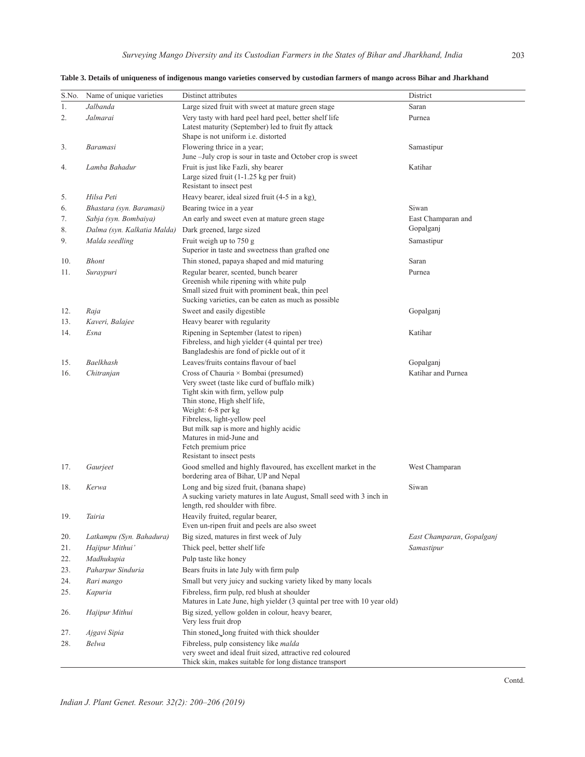| S.No. | Name of unique varieties    | Distinct attributes                                                                                                                                                                                                                                                                                                                      | District                  |
|-------|-----------------------------|------------------------------------------------------------------------------------------------------------------------------------------------------------------------------------------------------------------------------------------------------------------------------------------------------------------------------------------|---------------------------|
| 1.    | Jalbanda                    | Large sized fruit with sweet at mature green stage                                                                                                                                                                                                                                                                                       | Saran                     |
| 2.    | Jalmarai                    | Very tasty with hard peel hard peel, better shelf life<br>Latest maturity (September) led to fruit fly attack<br>Shape is not uniform i.e. distorted                                                                                                                                                                                     | Purnea                    |
| 3.    | <b>Baramasi</b>             | Flowering thrice in a year;<br>June -July crop is sour in taste and October crop is sweet                                                                                                                                                                                                                                                | Samastipur                |
| 4.    | Lamba Bahadur               | Fruit is just like Fazli, shy bearer<br>Large sized fruit (1-1.25 kg per fruit)<br>Resistant to insect pest                                                                                                                                                                                                                              | Katihar                   |
| 5.    | Hilsa Peti                  | Heavy bearer, ideal sized fruit (4-5 in a kg)                                                                                                                                                                                                                                                                                            |                           |
| 6.    | Bhastara (syn. Baramasi)    | Bearing twice in a year                                                                                                                                                                                                                                                                                                                  | Siwan                     |
| 7.    | Sabja (syn. Bombaiya)       | An early and sweet even at mature green stage                                                                                                                                                                                                                                                                                            | East Champaran and        |
| 8.    | Dalma (syn. Kalkatia Malda) | Dark greened, large sized                                                                                                                                                                                                                                                                                                                | Gopalganj                 |
| 9.    | Malda seedling              | Fruit weigh up to $750 g$<br>Superior in taste and sweetness than grafted one                                                                                                                                                                                                                                                            | Samastipur                |
| 10.   | <b>Bhont</b>                | Thin stoned, papaya shaped and mid maturing                                                                                                                                                                                                                                                                                              | Saran                     |
| 11.   | Suraypuri                   | Regular bearer, scented, bunch bearer<br>Greenish while ripening with white pulp<br>Small sized fruit with prominent beak, thin peel<br>Sucking varieties, can be eaten as much as possible                                                                                                                                              | Purnea                    |
| 12.   | Raja                        | Sweet and easily digestible                                                                                                                                                                                                                                                                                                              | Gopalganj                 |
| 13.   | Kaveri, Balajee             | Heavy bearer with regularity                                                                                                                                                                                                                                                                                                             |                           |
| 14.   | Esna                        | Ripening in September (latest to ripen)<br>Fibreless, and high yielder (4 quintal per tree)<br>Bangladeshis are fond of pickle out of it                                                                                                                                                                                                 | Katihar                   |
| 15.   | Baelkhash                   | Leaves/fruits contains flavour of bael                                                                                                                                                                                                                                                                                                   | Gopalganj                 |
| 16.   | Chitranjan                  | Cross of Chauria × Bombai (presumed)<br>Very sweet (taste like curd of buffalo milk)<br>Tight skin with firm, yellow pulp<br>Thin stone, High shelf life,<br>Weight: 6-8 per kg<br>Fibreless, light-yellow peel<br>But milk sap is more and highly acidic<br>Matures in mid-June and<br>Fetch premium price<br>Resistant to insect pests | Katihar and Purnea        |
| 17.   | Gaurjeet                    | Good smelled and highly flavoured, has excellent market in the<br>bordering area of Bihar, UP and Nepal                                                                                                                                                                                                                                  | West Champaran            |
| 18.   | Kerwa                       | Long and big sized fruit, (banana shape)<br>A sucking variety matures in late August, Small seed with 3 inch in<br>length, red shoulder with fibre.                                                                                                                                                                                      | Siwan                     |
| 19.   | Tairia                      | Heavily fruited, regular bearer,<br>Even un-ripen fruit and peels are also sweet                                                                                                                                                                                                                                                         |                           |
| 20.   | Latkampu (Syn. Bahadura)    | Big sized, matures in first week of July                                                                                                                                                                                                                                                                                                 | East Champaran, Gopalganj |
| 21.   | Hajipur Mithui'             | Thick peel, better shelf life                                                                                                                                                                                                                                                                                                            | Samastipur                |
| 22.   | Madhukupia                  | Pulp taste like honey                                                                                                                                                                                                                                                                                                                    |                           |
| 23.   | Paharpur Sinduria           | Bears fruits in late July with firm pulp                                                                                                                                                                                                                                                                                                 |                           |
| 24.   | Rari mango                  | Small but very juicy and sucking variety liked by many locals                                                                                                                                                                                                                                                                            |                           |
| 25.   | Kapuria                     | Fibreless, firm pulp, red blush at shoulder<br>Matures in Late June, high yielder (3 quintal per tree with 10 year old)                                                                                                                                                                                                                  |                           |
| 26.   | Hajipur Mithui              | Big sized, yellow golden in colour, heavy bearer,<br>Very less fruit drop                                                                                                                                                                                                                                                                |                           |
| 27.   | Ajgavi Sipia                | Thin stoned, long fruited with thick shoulder                                                                                                                                                                                                                                                                                            |                           |
| 28.   | Belwa                       | Fibreless, pulp consistency like <i>malda</i><br>very sweet and ideal fruit sized, attractive red coloured<br>Thick skin, makes suitable for long distance transport                                                                                                                                                                     |                           |

| Table 3. Details of uniqueness of indigenous mango varieties conserved by custodian farmers of mango across Bihar and Jharkhand |  |  |  |
|---------------------------------------------------------------------------------------------------------------------------------|--|--|--|
|                                                                                                                                 |  |  |  |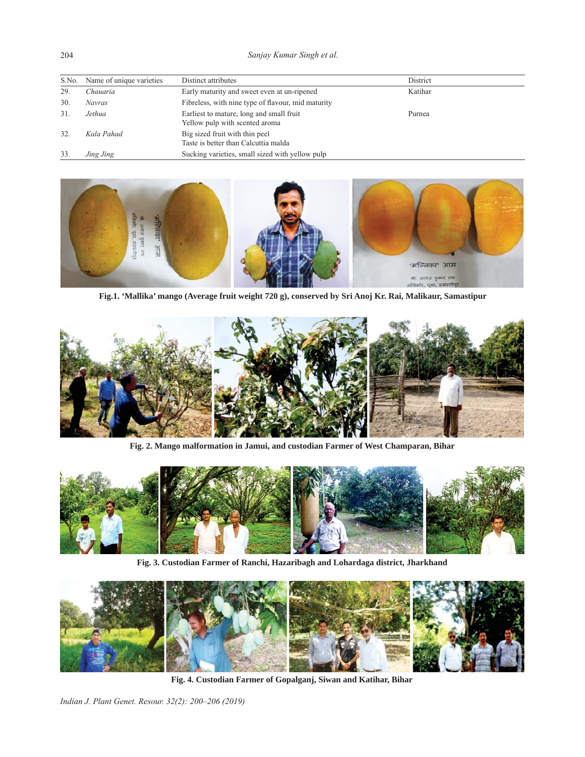*Sanjay Kumar Singh et al.*

|     | S.No. Name of unique varieties | Distinct attributes                                                        | District |
|-----|--------------------------------|----------------------------------------------------------------------------|----------|
| 29. | Chauaria                       | Early maturity and sweet even at un-ripened                                | Katihar  |
| 30. | Navras                         | Fibreless, with nine type of flavour, mid maturity                         |          |
| 31  | Jethua                         | Earliest to mature, long and small fruit<br>Yellow pulp with scented aroma | Purnea   |
| 32. | Kala Pahad                     | Big sized fruit with thin peel<br>Taste is better than Calcuttia malda     |          |
| 33. | Jing Jing                      | Sucking varieties, small sized with yellow pulp                            |          |



**Fig.1. 'Mallika' mango (Average fruit weight 720 g), conserved by Sri Anoj Kr. Rai, Malikaur, Samastipur**



**Fig. 2. Mango malformation in Jamui, and custodian Farmer of West Champaran, Bihar** 



**Fig. 3. Custodian Farmer of Ranchi, Hazaribagh and Lohardaga district, Jharkhand**



**Fig. 4. Custodian Farmer of Gopalganj, Siwan and Katihar, Bihar**

*Indian J. Plant Genet. Resour. 32(2): 200–206 (2019)*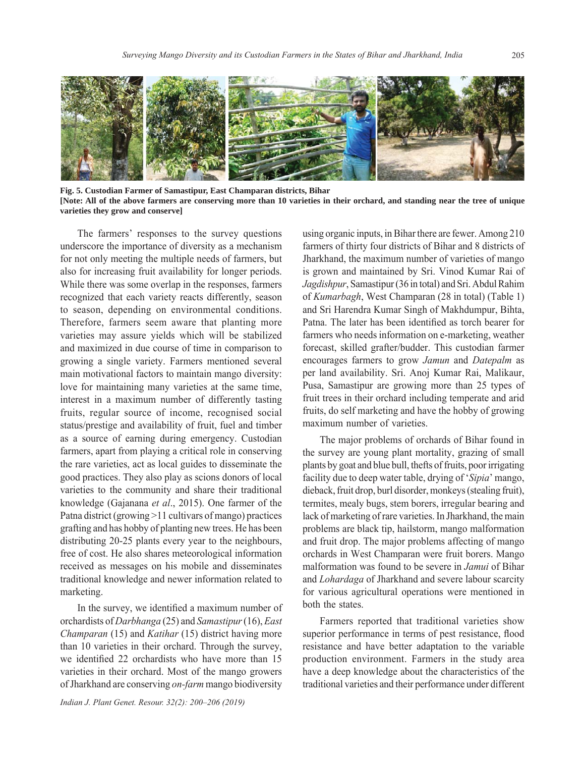

**Fig. 5. Custodian Farmer of Samastipur, East Champaran districts, Bihar [Note: All of the above farmers are conserving more than 10 varieties in their orchard, and standing near the tree of unique varieties they grow and conserve]**

 The farmers' responses to the survey questions underscore the importance of diversity as a mechanism for not only meeting the multiple needs of farmers, but also for increasing fruit availability for longer periods. While there was some overlap in the responses, farmers recognized that each variety reacts differently, season to season, depending on environmental conditions. Therefore, farmers seem aware that planting more varieties may assure yields which will be stabilized and maximized in due course of time in comparison to growing a single variety. Farmers mentioned several main motivational factors to maintain mango diversity: love for maintaining many varieties at the same time, interest in a maximum number of differently tasting fruits, regular source of income, recognised social status/prestige and availability of fruit, fuel and timber as a source of earning during emergency. Custodian farmers, apart from playing a critical role in conserving the rare varieties, act as local guides to disseminate the good practices. They also play as scions donors of local varieties to the community and share their traditional knowledge (Gajanana *et al*., 2015). One farmer of the Patna district (growing >11 cultivars of mango) practices grafting and has hobby of planting new trees. He has been distributing 20-25 plants every year to the neighbours, free of cost. He also shares meteorological information received as messages on his mobile and disseminates traditional knowledge and newer information related to marketing.

In the survey, we identified a maximum number of orchardists of *Darbhanga* (25) and *Samastipur* (16), *East Champaran* (15) and *Katihar* (15) district having more than 10 varieties in their orchard. Through the survey, we identified 22 orchardists who have more than 15 varieties in their orchard. Most of the mango growers of Jharkhand are conserving *on-farm* mango biodiversity

*Indian J. Plant Genet. Resour. 32(2): 200–206 (2019)*

using organic inputs, in Bihar there are fewer. Among 210 farmers of thirty four districts of Bihar and 8 districts of Jharkhand, the maximum number of varieties of mango is grown and maintained by Sri. Vinod Kumar Rai of *Jagdishpur*, Samastipur (36 in total) and Sri. Abdul Rahim of *Kumarbagh*, West Champaran (28 in total) (Table 1) and Sri Harendra Kumar Singh of Makhdumpur, Bihta, Patna. The later has been identified as torch bearer for farmers who needs information on e-marketing, weather forecast, skilled grafter/budder. This custodian farmer encourages farmers to grow *Jamun* and *Datepalm* as per land availability. Sri. Anoj Kumar Rai, Malikaur, Pusa, Samastipur are growing more than 25 types of fruit trees in their orchard including temperate and arid fruits, do self marketing and have the hobby of growing maximum number of varieties.

 The major problems of orchards of Bihar found in the survey are young plant mortality, grazing of small plants by goat and blue bull, thefts of fruits, poor irrigating facility due to deep water table, drying of '*Sipia*' mango, dieback, fruit drop, burl disorder, monkeys (stealing fruit), termites, mealy bugs, stem borers, irregular bearing and lack of marketing of rare varieties. In Jharkhand, the main problems are black tip, hailstorm, mango malformation and fruit drop. The major problems affecting of mango orchards in West Champaran were fruit borers. Mango malformation was found to be severe in *Jamui* of Bihar and *Lohardaga* of Jharkhand and severe labour scarcity for various agricultural operations were mentioned in both the states.

 Farmers reported that traditional varieties show superior performance in terms of pest resistance, flood resistance and have better adaptation to the variable production environment. Farmers in the study area have a deep knowledge about the characteristics of the traditional varieties and their performance under different